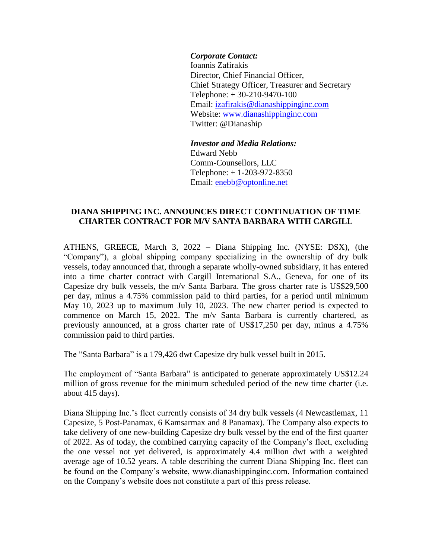## *Corporate Contact:*

Ioannis Zafirakis Director, Chief Financial Officer, Chief Strategy Officer, Treasurer and Secretary Telephone: + 30-210-9470-100 Email: izafirakis@dianashippinginc.com Website: [www.dianashippinginc.com](http://www.dianashippinginc.com/) Twitter: @Dianaship

*Investor and Media Relations:* Edward Nebb Comm-Counsellors, LLC Telephone: + 1-203-972-8350 Email: enebb@optonline.net

## **DIANA SHIPPING INC. ANNOUNCES DIRECT CONTINUATION OF TIME CHARTER CONTRACT FOR M/V SANTA BARBARA WITH CARGILL**

ATHENS, GREECE, March 3, 2022 – Diana Shipping Inc. (NYSE: DSX), (the "Company"), a global shipping company specializing in the ownership of dry bulk vessels, today announced that, through a separate wholly-owned subsidiary, it has entered into a time charter contract with Cargill International S.A., Geneva, for one of its Capesize dry bulk vessels, the m/v Santa Barbara. The gross charter rate is US\$29,500 per day, minus a 4.75% commission paid to third parties, for a period until minimum May 10, 2023 up to maximum July 10, 2023. The new charter period is expected to commence on March 15, 2022. The m/v Santa Barbara is currently chartered, as previously announced, at a gross charter rate of US\$17,250 per day, minus a 4.75% commission paid to third parties.

The "Santa Barbara" is a 179,426 dwt Capesize dry bulk vessel built in 2015.

The employment of "Santa Barbara" is anticipated to generate approximately US\$12.24 million of gross revenue for the minimum scheduled period of the new time charter (i.e. about 415 days).

Diana Shipping Inc.'s fleet currently consists of 34 dry bulk vessels (4 Newcastlemax, 11 Capesize, 5 Post-Panamax, 6 Kamsarmax and 8 Panamax). The Company also expects to take delivery of one new-building Capesize dry bulk vessel by the end of the first quarter of 2022. As of today, the combined carrying capacity of the Company's fleet, excluding the one vessel not yet delivered, is approximately 4.4 million dwt with a weighted average age of 10.52 years. A table describing the current Diana Shipping Inc. fleet can be found on the Company's website, www.dianashippinginc.com. Information contained on the Company's website does not constitute a part of this press release.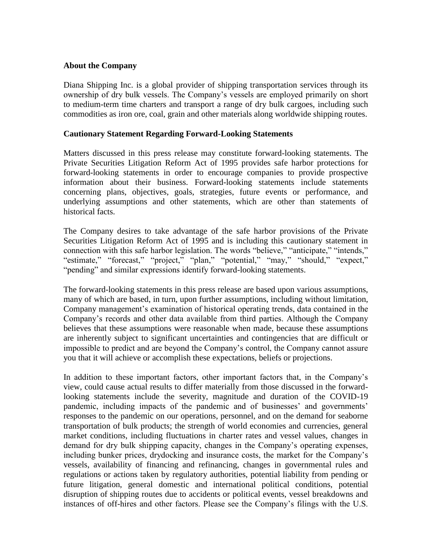## **About the Company**

Diana Shipping Inc. is a global provider of shipping transportation services through its ownership of dry bulk vessels. The Company's vessels are employed primarily on short to medium-term time charters and transport a range of dry bulk cargoes, including such commodities as iron ore, coal, grain and other materials along worldwide shipping routes.

## **Cautionary Statement Regarding Forward-Looking Statements**

Matters discussed in this press release may constitute forward-looking statements. The Private Securities Litigation Reform Act of 1995 provides safe harbor protections for forward-looking statements in order to encourage companies to provide prospective information about their business. Forward-looking statements include statements concerning plans, objectives, goals, strategies, future events or performance, and underlying assumptions and other statements, which are other than statements of historical facts.

The Company desires to take advantage of the safe harbor provisions of the Private Securities Litigation Reform Act of 1995 and is including this cautionary statement in connection with this safe harbor legislation. The words "believe," "anticipate," "intends," "estimate," "forecast," "project," "plan," "potential," "may," "should," "expect," "pending" and similar expressions identify forward-looking statements.

The forward-looking statements in this press release are based upon various assumptions, many of which are based, in turn, upon further assumptions, including without limitation, Company management's examination of historical operating trends, data contained in the Company's records and other data available from third parties. Although the Company believes that these assumptions were reasonable when made, because these assumptions are inherently subject to significant uncertainties and contingencies that are difficult or impossible to predict and are beyond the Company's control, the Company cannot assure you that it will achieve or accomplish these expectations, beliefs or projections.

In addition to these important factors, other important factors that, in the Company's view, could cause actual results to differ materially from those discussed in the forwardlooking statements include the severity, magnitude and duration of the COVID-19 pandemic, including impacts of the pandemic and of businesses' and governments' responses to the pandemic on our operations, personnel, and on the demand for seaborne transportation of bulk products; the strength of world economies and currencies, general market conditions, including fluctuations in charter rates and vessel values, changes in demand for dry bulk shipping capacity, changes in the Company's operating expenses, including bunker prices, drydocking and insurance costs, the market for the Company's vessels, availability of financing and refinancing, changes in governmental rules and regulations or actions taken by regulatory authorities, potential liability from pending or future litigation, general domestic and international political conditions, potential disruption of shipping routes due to accidents or political events, vessel breakdowns and instances of off-hires and other factors. Please see the Company's filings with the U.S.